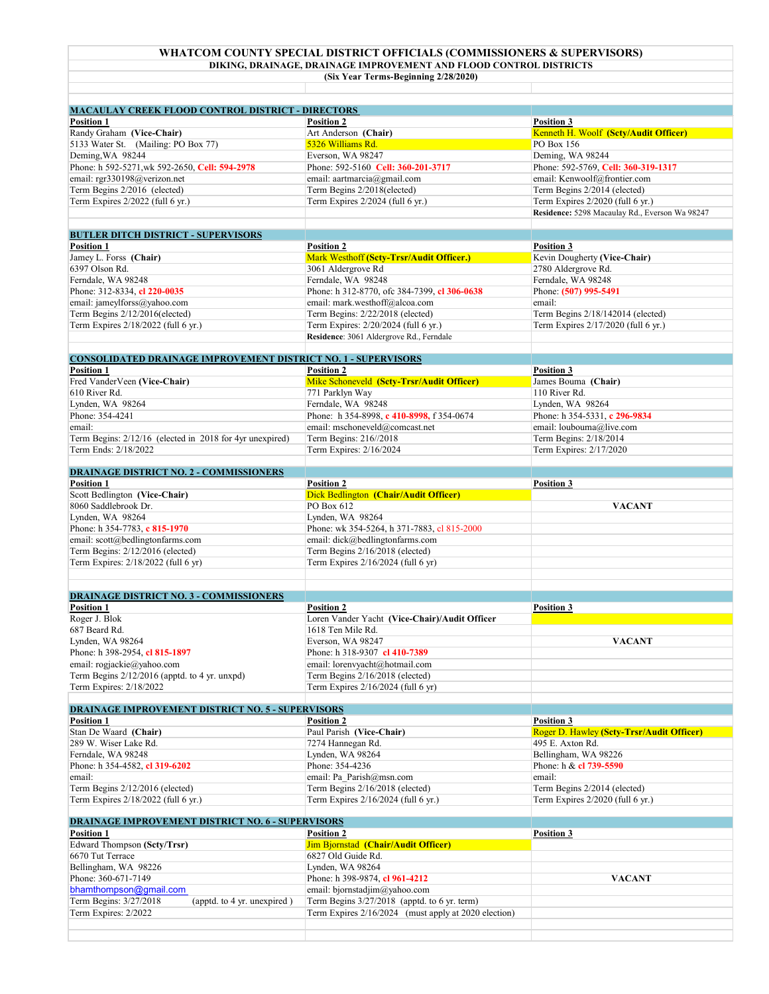## **WHATCOM COUNTY SPECIAL DISTRICT OFFICIALS (COMMISSIONERS & SUPERVISORS) DIKING, DRAINAGE, DRAINAGE IMPROVEMENT AND FLOOD CONTROL DISTRICTS**

**(Six Year Terms-Beginning 2/28/2020)**

| <b>MACAULAY CREEK FLOOD CONTROL DISTRICT - DIRECTORS</b>               |                                                                        |                                                                  |
|------------------------------------------------------------------------|------------------------------------------------------------------------|------------------------------------------------------------------|
| <b>Position 1</b>                                                      | <b>Position 2</b>                                                      | <b>Position 3</b>                                                |
| Randy Graham (Vice-Chair)                                              | Art Anderson (Chair)                                                   | Kenneth H. Woolf (Scty/Audit Officer)                            |
| 5133 Water St. (Mailing: PO Box 77)                                    | 5326 Williams Rd.                                                      | PO Box 156                                                       |
| Deming, WA 98244                                                       | Everson, WA 98247                                                      | Deming, WA 98244                                                 |
| Phone: h 592-5271, wk 592-2650, Cell: 594-2978                         | Phone: 592-5160 Cell: 360-201-3717                                     | Phone: 592-5769, Cell: 360-319-1317                              |
| email: rgr330198@verizon.net                                           | email: aartmarcia@gmail.com                                            | email: Kenwoolf@frontier.com                                     |
| Term Begins 2/2016 (elected)                                           | Term Begins 2/2018(elected)                                            | Term Begins 2/2014 (elected)                                     |
| Term Expires 2/2022 (full 6 yr.)                                       | Term Expires 2/2024 (full 6 yr.)                                       | Term Expires 2/2020 (full 6 yr.)                                 |
|                                                                        |                                                                        | Residence: 5298 Macaulay Rd., Everson Wa 98247                   |
| <b>BUTLER DITCH DISTRICT - SUPERVISORS</b>                             |                                                                        |                                                                  |
| <b>Position 1</b>                                                      | <b>Position 2</b>                                                      | <b>Position 3</b>                                                |
| Jamey L. Forss (Chair)                                                 | Mark Westhoff (Scty-Trsr/Audit Officer.)                               | Kevin Dougherty (Vice-Chair)                                     |
| 6397 Olson Rd.                                                         | 3061 Aldergrove Rd                                                     | 2780 Aldergrove Rd.                                              |
| Ferndale, WA 98248                                                     | Ferndale, WA 98248                                                     | Ferndale, WA 98248                                               |
| Phone: 312-8334, cl 220-0035                                           | Phone: h 312-8770, ofc 384-7399, cl 306-0638                           | Phone: (507) 995-5491                                            |
| email: jameylforss@yahoo.com                                           | email: mark.westhoff@alcoa.com                                         | email:                                                           |
| Term Begins 2/12/2016(elected)                                         | Term Begins: 2/22/2018 (elected)                                       | Term Begins 2/18/142014 (elected)                                |
| Term Expires 2/18/2022 (full 6 yr.)                                    | Term Expires: 2/20/2024 (full 6 yr.)                                   | Term Expires 2/17/2020 (full 6 yr.)                              |
|                                                                        | Residence: 3061 Aldergrove Rd., Ferndale                               |                                                                  |
| <b>CONSOLIDATED DRAINAGE IMPROVEMENT DISTRICT NO. 1 - SUPERVISORS</b>  |                                                                        |                                                                  |
| <b>Position 1</b>                                                      | <b>Position 2</b>                                                      | <b>Position 3</b>                                                |
| Fred VanderVeen (Vice-Chair)                                           | Mike Schoneveld (Sety-Trsr/Audit Officer)                              | James Bouma (Chair)                                              |
| 610 River Rd.                                                          | 771 Parklyn Way                                                        | 110 River Rd.                                                    |
| Lynden, WA 98264                                                       | Ferndale, WA 98248                                                     | Lynden, WA 98264                                                 |
| Phone: 354-4241                                                        | Phone: h 354-8998, c 410-8998, f 354-0674                              | Phone: h 354-5331, c 296-9834                                    |
| email:                                                                 | email: mschoneveld@comcast.net                                         |                                                                  |
|                                                                        |                                                                        | email: loubouma@live.com                                         |
| Term Begins: 2/12/16 (elected in 2018 for 4yr unexpired)               | Term Begins: 216//2018                                                 | Term Begins: 2/18/2014                                           |
| Term Ends: 2/18/2022                                                   | Term Expires: 2/16/2024                                                | Term Expires: 2/17/2020                                          |
| <b>DRAINAGE DISTRICT NO. 2 - COMMISSIONERS</b>                         |                                                                        |                                                                  |
| <b>Position 1</b>                                                      | <b>Position 2</b>                                                      | <b>Position 3</b>                                                |
| Scott Bedlington (Vice-Chair)                                          | Dick Bedlington (Chair/Audit Officer)                                  |                                                                  |
| 8060 Saddlebrook Dr.                                                   | PO Box 612                                                             | <b>VACANT</b>                                                    |
| Lynden, WA 98264                                                       | Lynden, WA 98264                                                       |                                                                  |
| Phone: h 354-7783, c 815-1970                                          | Phone: wk 354-5264, h 371-7883, cl 815-2000                            |                                                                  |
| email: scott@bedlingtonfarms.com                                       | email: dick@bedlingtonfarms.com                                        |                                                                  |
| Term Begins: 2/12/2016 (elected)                                       | Term Begins 2/16/2018 (elected)                                        |                                                                  |
| Term Expires: 2/18/2022 (full 6 yr)                                    | Term Expires 2/16/2024 (full 6 yr)                                     |                                                                  |
|                                                                        |                                                                        |                                                                  |
|                                                                        |                                                                        |                                                                  |
| <b>DRAINAGE DISTRICT NO. 3 - COMMISSIONERS</b>                         |                                                                        |                                                                  |
| <b>Position 1</b>                                                      | <b>Position 2</b>                                                      | <b>Position 3</b>                                                |
| Roger J. Blok                                                          | Loren Vander Yacht (Vice-Chair)/Audit Officer                          |                                                                  |
| 687 Beard Rd.                                                          | 1618 Ten Mile Rd.                                                      |                                                                  |
| Lynden, WA 98264                                                       | Everson, WA 98247                                                      | <b>VACANT</b>                                                    |
| Phone: h 398-2954, cl 815-1897                                         | Phone: h 318-9307 cl 410-7389                                          |                                                                  |
| email: rogjackie@yahoo.com                                             | email: lorenvyacht@hotmail.com                                         |                                                                  |
| Term Begins 2/12/2016 (apptd. to 4 yr. unxpd)                          | Term Begins 2/16/2018 (elected)                                        |                                                                  |
| Term Expires: 2/18/2022                                                | Term Expires 2/16/2024 (full 6 yr)                                     |                                                                  |
|                                                                        |                                                                        |                                                                  |
| <b>DRAINAGE IMPROVEMENT DISTRICT NO. 5 - SUPERVISORS</b>               |                                                                        |                                                                  |
| <b>Position 1</b>                                                      | <b>Position 2</b>                                                      | <b>Position 3</b>                                                |
| Stan De Waard (Chair)                                                  | Paul Parish (Vice-Chair)                                               | Roger D. Hawley (Scty-Trsr/Audit Officer)                        |
| 289 W. Wiser Lake Rd.                                                  | 7274 Hannegan Rd.                                                      | 495 E. Axton Rd.                                                 |
| Ferndale, WA 98248                                                     | Lynden, WA 98264                                                       | Bellingham, WA 98226                                             |
| Phone: h 354-4582, cl 319-6202                                         | Phone: 354-4236                                                        | Phone: h & cl 739-5590                                           |
| email:                                                                 | email: Pa Parish@msn.com                                               | email:                                                           |
| Term Begins 2/12/2016 (elected)<br>Term Expires 2/18/2022 (full 6 yr.) | Term Begins 2/16/2018 (elected)<br>Term Expires 2/16/2024 (full 6 yr.) | Term Begins 2/2014 (elected)<br>Term Expires 2/2020 (full 6 yr.) |
|                                                                        |                                                                        |                                                                  |
| <b>DRAINAGE IMPROVEMENT DISTRICT NO. 6 - SUPERVISORS</b>               |                                                                        |                                                                  |
| <b>Position 1</b>                                                      | <b>Position 2</b>                                                      | Position 3                                                       |
| Edward Thompson (Scty/Trsr)                                            | Jim Bjornstad (Chair/Audit Officer)                                    |                                                                  |
| 6670 Tut Terrace                                                       | 6827 Old Guide Rd.                                                     |                                                                  |
| Bellingham, WA 98226                                                   | Lynden, WA 98264                                                       |                                                                  |
| Phone: 360-671-7149                                                    | Phone: h 398-9874, cl 961-4212                                         | <b>VACANT</b>                                                    |
| bhamthompson@gmail.com                                                 | email: bjornstadjim@yahoo.com                                          |                                                                  |
| Term Begins: 3/27/2018<br>(apptd. to 4 yr. unexpired)                  | Term Begins 3/27/2018 (apptd. to 6 yr. term)                           |                                                                  |
| Term Expires: 2/2022                                                   | Term Expires 2/16/2024 (must apply at 2020 election)                   |                                                                  |
|                                                                        |                                                                        |                                                                  |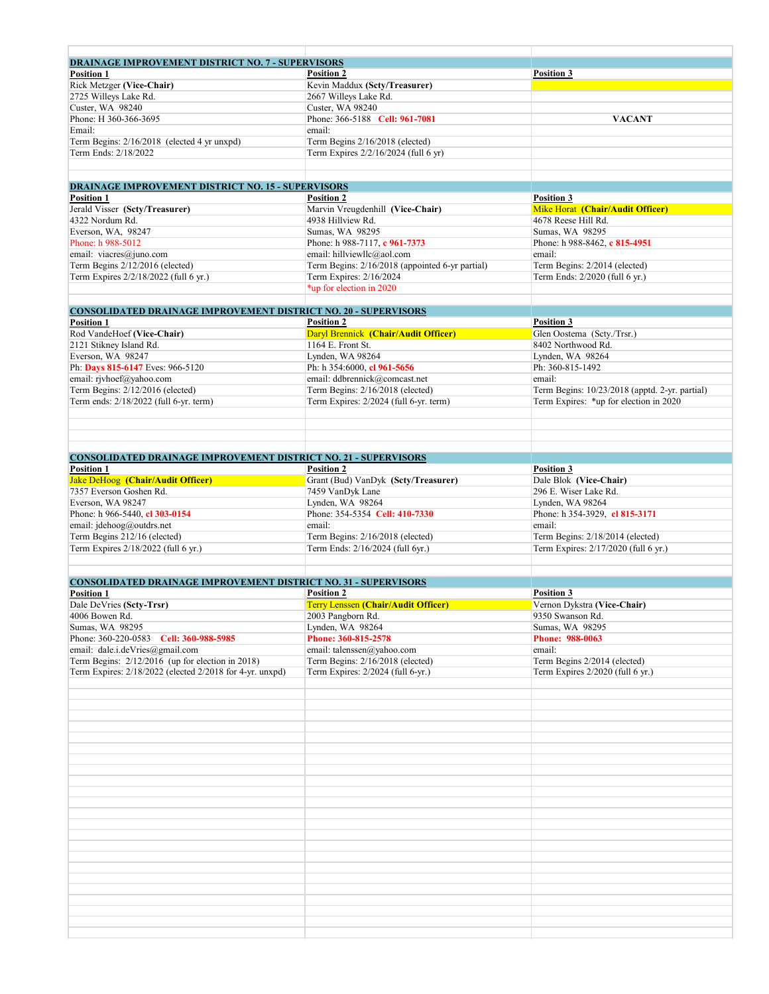| <b>DRAINAGE IMPROVEMENT DISTRICT NO. 7 - SUPERVISORS</b>               |                                                 |                                                |
|------------------------------------------------------------------------|-------------------------------------------------|------------------------------------------------|
| <b>Position 1</b>                                                      | <b>Position 2</b>                               | Position 3                                     |
| Rick Metzger (Vice-Chair)                                              | Kevin Maddux (Scty/Treasurer)                   |                                                |
| 2725 Willeys Lake Rd.                                                  | 2667 Willeys Lake Rd.                           |                                                |
| Custer, WA 98240                                                       | Custer, WA 98240                                |                                                |
| Phone: H 360-366-3695                                                  | Phone: 366-5188 Cell: 961-7081                  | <b>VACANT</b>                                  |
|                                                                        |                                                 |                                                |
| Email:                                                                 | email:                                          |                                                |
| Term Begins: 2/16/2018 (elected 4 yr unxpd)                            | Term Begins 2/16/2018 (elected)                 |                                                |
| Term Ends: 2/18/2022                                                   | Term Expires 2/2/16/2024 (full 6 yr)            |                                                |
|                                                                        |                                                 |                                                |
|                                                                        |                                                 |                                                |
| <b>DRAINAGE IMPROVEMENT DISTRICT NO. 15 - SUPERVISORS</b>              |                                                 |                                                |
| <b>Position 1</b>                                                      | <b>Position 2</b>                               | <b>Position 3</b>                              |
|                                                                        |                                                 |                                                |
| Jerald Visser (Scty/Treasurer)                                         | Marvin Vreugdenhill (Vice-Chair)                | Mike Horat (Chair/Audit Officer)               |
| 4322 Nordum Rd.                                                        | 4938 Hillview Rd.                               | 4678 Reese Hill Rd.                            |
| Everson, WA, 98247                                                     | Sumas, WA 98295                                 | Sumas, WA 98295                                |
| Phone: h 988-5012                                                      | Phone: h 988-7117, c 961-7373                   | Phone: h 988-8462, c 815-4951                  |
| email: viacres@juno.com                                                | email: hillviewllc@aol.com                      | email:                                         |
| Term Begins 2/12/2016 (elected)                                        | Term Begins: 2/16/2018 (appointed 6-yr partial) | Term Begins: 2/2014 (elected)                  |
| Term Expires 2/2/18/2022 (full 6 yr.)                                  | Term Expires: 2/16/2024                         | Term Ends: 2/2020 (full 6 yr.)                 |
|                                                                        |                                                 |                                                |
|                                                                        | *up for election in 2020                        |                                                |
|                                                                        |                                                 |                                                |
| <b>CONSOLIDATED DRAINAGE IMPROVEMENT DISTRICT NO. 20 - SUPERVISORS</b> |                                                 |                                                |
| <b>Position 1</b>                                                      | <b>Position 2</b>                               | <b>Position 3</b>                              |
| Rod VandeHoef (Vice-Chair)                                             | Daryl Brennick (Chair/Audit Officer)            | Glen Oostema (Scty./Trsr.)                     |
| 2121 Stikney Island Rd.                                                | 1164 E. Front St.                               | 8402 Northwood Rd.                             |
| Everson, WA 98247                                                      | Lynden, WA 98264                                | Lynden, WA 98264                               |
| Ph: Days 815-6147 Eves: 966-5120                                       | Ph: h 354:6000, cl 961-5656                     | Ph: 360-815-1492                               |
|                                                                        |                                                 |                                                |
| email: rjvhoef@yahoo.com                                               | email: ddbrennick@comcast.net                   | email:                                         |
| Term Begins: 2/12/2016 (elected)                                       | Term Begins: 2/16/2018 (elected)                | Term Begins: 10/23/2018 (apptd. 2-yr. partial) |
| Term ends: 2/18/2022 (full 6-yr. term)                                 | Term Expires: 2/2024 (full 6-yr. term)          | Term Expires: *up for election in 2020         |
|                                                                        |                                                 |                                                |
|                                                                        |                                                 |                                                |
|                                                                        |                                                 |                                                |
|                                                                        |                                                 |                                                |
|                                                                        |                                                 |                                                |
| <b>CONSOLIDATED DRAINAGE IMPROVEMENT DISTRICT NO. 21 - SUPERVISORS</b> |                                                 |                                                |
| <b>Position 1</b>                                                      | <b>Position 2</b>                               | <b>Position 3</b>                              |
| <b>Jake DeHoog</b> (Chair/Audit Officer)                               | Grant (Bud) VanDyk (Scty/Treasurer)             | Dale Blok (Vice-Chair)                         |
| 7357 Everson Goshen Rd.                                                | 7459 VanDyk Lane                                | 296 E. Wiser Lake Rd.                          |
| Everson, WA 98247                                                      | Lynden, WA 98264                                | Lynden, WA 98264                               |
| Phone: h 966-5440, cl 303-0154                                         | Phone: 354-5354 Cell: 410-7330                  | Phone: h 354-3929, cl 815-3171                 |
| email: jdehoog@outdrs.net                                              | email:                                          | email:                                         |
|                                                                        |                                                 |                                                |
| Term Begins 212/16 (elected)                                           | Term Begins: 2/16/2018 (elected)                | Term Begins: 2/18/2014 (elected)               |
| Term Expires 2/18/2022 (full 6 yr.)                                    | Term Ends: 2/16/2024 (full 6yr.)                | Term Expires: 2/17/2020 (full 6 yr.)           |
|                                                                        |                                                 |                                                |
|                                                                        |                                                 |                                                |
| <b>CONSOLIDATED DRAINAGE IMPROVEMENT DISTRICT NO. 31 - SUPERVISORS</b> |                                                 |                                                |
| <b>Position 1</b>                                                      | <b>Position 2</b>                               | <b>Position 3</b>                              |
| Dale DeVries (Scty-Trsr)                                               | Terry Lenssen (Chair/Audit Officer)             | Vernon Dykstra (Vice-Chair)                    |
| 4006 Bowen Rd.                                                         | 2003 Pangborn Rd.                               | 9350 Swanson Rd.                               |
|                                                                        |                                                 |                                                |
| Sumas, WA 98295                                                        | Lynden, WA 98264                                | Sumas, WA 98295                                |
| Phone: 360-220-0583 Cell: 360-988-5985                                 | Phone: 360-815-2578                             | Phone: 988-0063                                |
| email: dale.i.deVries@gmail.com                                        | email: talenssen@yahoo.com                      | email:                                         |
| Term Begins: 2/12/2016 (up for election in 2018)                       | Term Begins: 2/16/2018 (elected)                | Term Begins 2/2014 (elected)                   |
| Term Expires: 2/18/2022 (elected 2/2018 for 4-yr. unxpd)               | Term Expires: 2/2024 (full 6-yr.)               | Term Expires 2/2020 (full 6 yr.)               |
|                                                                        |                                                 |                                                |
|                                                                        |                                                 |                                                |
|                                                                        |                                                 |                                                |
|                                                                        |                                                 |                                                |
|                                                                        |                                                 |                                                |
|                                                                        |                                                 |                                                |
|                                                                        |                                                 |                                                |
|                                                                        |                                                 |                                                |
|                                                                        |                                                 |                                                |
|                                                                        |                                                 |                                                |
|                                                                        |                                                 |                                                |
|                                                                        |                                                 |                                                |
|                                                                        |                                                 |                                                |
|                                                                        |                                                 |                                                |
|                                                                        |                                                 |                                                |
|                                                                        |                                                 |                                                |
|                                                                        |                                                 |                                                |
|                                                                        |                                                 |                                                |
|                                                                        |                                                 |                                                |
|                                                                        |                                                 |                                                |
|                                                                        |                                                 |                                                |
|                                                                        |                                                 |                                                |
|                                                                        |                                                 |                                                |
|                                                                        |                                                 |                                                |
|                                                                        |                                                 |                                                |
|                                                                        |                                                 |                                                |